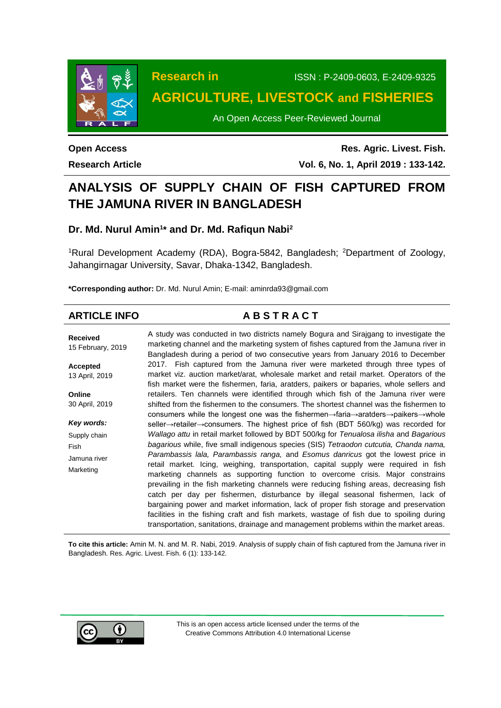

**Research in** ISSN : P-2409-0603, E-2409-9325

# **AGRICULTURE, LIVESTOCK and FISHERIES**

An Open Access Peer-Reviewed Journal

**Open Access Research Article**

**Res. Agric. Livest. Fish. Vol. 6, No. 1, April 2019 : 133-142.**

# **ANALYSIS OF SUPPLY CHAIN OF FISH CAPTURED FROM THE JAMUNA RIVER IN BANGLADESH**

## **Dr. Md. Nurul Amin<sup>1</sup> \* and Dr. Md. Rafiqun Nabi<sup>2</sup>**

<sup>1</sup>Rural Development Academy (RDA), Bogra-5842, Bangladesh; <sup>2</sup>Department of Zoology, Jahangirnagar University, Savar, Dhaka-1342, Bangladesh.

**\*Corresponding author:** Dr. Md. Nurul Amin; E-mail: aminrda93@gmail.com

## **ARTICLE INFO A B S T R A C T**

A study was conducted in two districts namely Bogura and Sirajgang to investigate the

**Received** 15 February, 2019

**Accepted** 13 April, 2019

**Online** 30 April, 2019

*Key words:* Supply chain Fish Jamuna river

Marketing

marketing channel and the marketing system of fishes captured from the Jamuna river in Bangladesh during a period of two consecutive years from January 2016 to December 2017. Fish captured from the Jamuna river were marketed through three types of market viz. auction market/arat, wholesale market and retail market. Operators of the fish market were the fishermen, faria, aratders, paikers or baparies, whole sellers and retailers. Ten channels were identified through which fish of the Jamuna river were shifted from the fishermen to the consumers. The shortest channel was the fishermen to consumers while the longest one was the fishermen→faria→aratders→paikers→whole seller→retailer→consumers. The highest price of fish (BDT 560/kg) was recorded for *Wallago attu* in retail market followed by BDT 500/kg for *Tenualosa ilisha* and *Bagarious bagarious* while, five small indigenous species (SIS) *Tetraodon cutcutia, Chanda nama, Parambassis lala, Parambassis ranga,* and *Esomus danricus* got the lowest price in retail market*.* Icing, weighing, transportation, capital supply were required in fish marketing channels as supporting function to overcome crisis. Major constrains prevailing in the fish marketing channels were reducing fishing areas, decreasing fish catch per day per fishermen, disturbance by illegal seasonal fishermen, lack of bargaining power and market information, lack of proper fish storage and preservation facilities in the fishing craft and fish markets, wastage of fish due to spoiling during transportation, sanitations, drainage and management problems within the market areas.

**To cite this article:** Amin M. N. and M. R. Nabi, 2019. Analysis of supply chain of fish captured from the Jamuna river in Bangladesh. Res. Agric. Livest. Fish. 6 (1): 133-142.



This is an open access article licensed under the terms of the Creative Commons Attribution 4.0 International License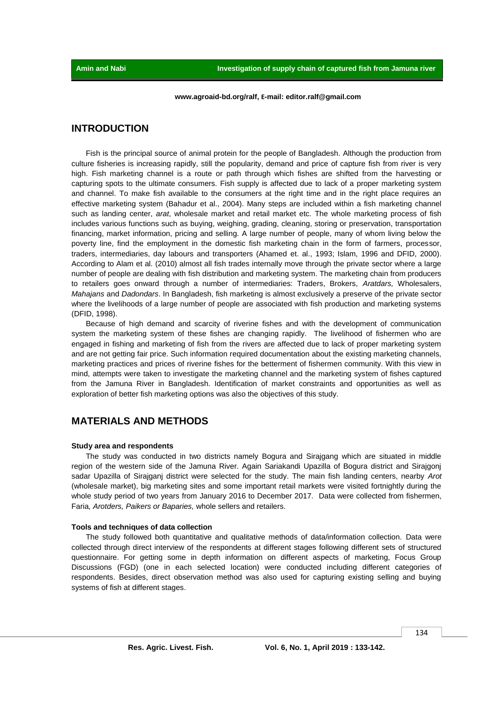#### **[www.agroaid-bd.org/ralf,](http://www.agroaid-bd.org/ralf) E-mail[: editor.ralf@gmail.com](mailto:editor.ralf@gmail.com)**

## **INTRODUCTION**

Fish is the principal source of animal protein for the people of Bangladesh. Although the production from culture fisheries is increasing rapidly, still the popularity, demand and price of capture fish from river is very high. Fish marketing channel is a route or path through which fishes are shifted from the harvesting or capturing spots to the ultimate consumers. Fish supply is affected due to lack of a proper marketing system and channel. To make fish available to the consumers at the right time and in the right place requires an effective marketing system (Bahadur et al., 2004). Many steps are included within a fish marketing channel such as landing center, *arat*, wholesale market and retail market etc. The whole marketing process of fish includes various functions such as buying, weighing, grading, cleaning, storing or preservation, transportation financing, market information, pricing and selling. A large number of people, many of whom living below the poverty line, find the employment in the domestic fish marketing chain in the form of farmers, processor, traders, intermediaries, day labours and transporters (Ahamed et. al., 1993; Islam, 1996 and DFID, 2000). According to Alam et al. (2010) almost all fish trades internally move through the private sector where a large number of people are dealing with fish distribution and marketing system. The marketing chain from producers to retailers goes onward through a number of intermediaries: Traders, Brokers, *Aratdars,* Wholesalers, *Mahajans* and *Dadondars*. In Bangladesh, fish marketing is almost exclusively a preserve of the private sector where the livelihoods of a large number of people are associated with fish production and marketing systems (DFID, 1998).

Because of high demand and scarcity of riverine fishes and with the development of communication system the marketing system of these fishes are changing rapidly. The livelihood of fishermen who are engaged in fishing and marketing of fish from the rivers are affected due to lack of proper marketing system and are not getting fair price. Such information required documentation about the existing marketing channels, marketing practices and prices of riverine fishes for the betterment of fishermen community. With this view in mind, attempts were taken to investigate the marketing channel and the marketing system of fishes captured from the Jamuna River in Bangladesh. Identification of market constraints and opportunities as well as exploration of better fish marketing options was also the objectives of this study.

## **MATERIALS AND METHODS**

#### **Study area and respondents**

The study was conducted in two districts namely Bogura and Sirajgang which are situated in middle region of the western side of the Jamuna River. Again Sariakandi Upazilla of Bogura district and Sirajgonj sadar Upazilla of Sirajganj district were selected for the study. The main fish landing centers, nearby *Arot*  (wholesale market), big marketing sites and some important retail markets were visited fortnightly during the whole study period of two years from January 2016 to December 2017. Data were collected from fishermen, Faria*, Arotders, Paikers or Baparies,* whole sellers and retailers.

#### **Tools and techniques of data collection**

The study followed both quantitative and qualitative methods of data/information collection. Data were collected through direct interview of the respondents at different stages following different sets of structured questionnaire. For getting some in depth information on different aspects of marketing, Focus Group Discussions (FGD) (one in each selected location) were conducted including different categories of respondents. Besides, direct observation method was also used for capturing existing selling and buying systems of fish at different stages.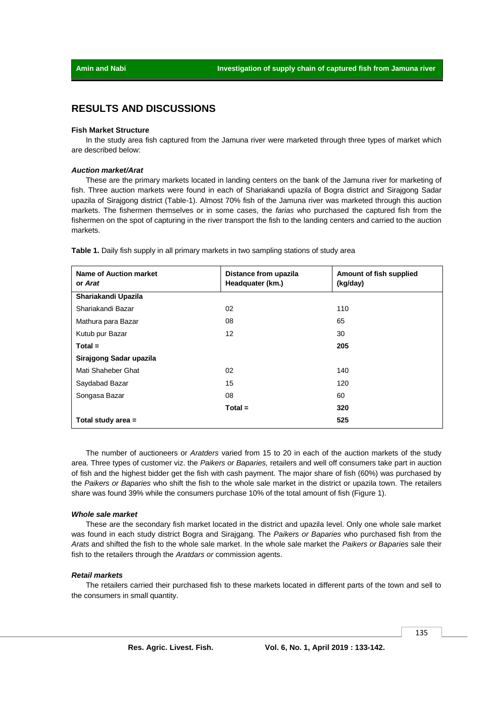## **RESULTS AND DISCUSSIONS**

#### **Fish Market Structure**

In the study area fish captured from the Jamuna river were marketed through three types of market which are described below:

#### *Auction market/Arat*

These are the primary markets located in landing centers on the bank of the Jamuna river for marketing of fish. Three auction markets were found in each of Shariakandi upazila of Bogra district and Sirajgong Sadar upazila of Sirajgong district (Table-1). Almost 70% fish of the Jamuna river was marketed through this auction markets. The fishermen themselves or in some cases, the *farias* who purchased the captured fish from the fishermen on the spot of capturing in the river transport the fish to the landing centers and carried to the auction markets.

| Name of Auction market<br>or Arat | Distance from upazila<br>Headquater (km.) | Amount of fish supplied<br>(kg/day) |
|-----------------------------------|-------------------------------------------|-------------------------------------|
| Shariakandi Upazila               |                                           |                                     |
| Shariakandi Bazar                 | 02                                        | 110                                 |
| Mathura para Bazar                | 08                                        | 65                                  |
| Kutub pur Bazar                   | 12                                        | 30                                  |
| $Total =$                         |                                           | 205                                 |
| Sirajgong Sadar upazila           |                                           |                                     |
| Mati Shaheber Ghat                | 02                                        | 140                                 |
| Saydabad Bazar                    | 15                                        | 120                                 |
| Songasa Bazar                     | 08                                        | 60                                  |
|                                   | $Total =$                                 | 320                                 |
| Total study area $=$              |                                           | 525                                 |

**Table 1.** Daily fish supply in all primary markets in two sampling stations of study area

The number of auctioneers or *Aratders* varied from 15 to 20 in each of the auction markets of the study area. Three types of customer viz. the *Paikers or Baparies,* retailers and well off consumers take part in auction of fish and the highest bidder get the fish with cash payment. The major share of fish (60%) was purchased by the *Paikers or Baparies* who shift the fish to the whole sale market in the district or upazila town. The retailers share was found 39% while the consumers purchase 10% of the total amount of fish (Figure 1).

#### *Whole sale market*

These are the secondary fish market located in the district and upazila level. Only one whole sale market was found in each study district Bogra and Sirajgang. The *Paikers or Baparies* who purchased fish from the *Arats* and shifted the fish to the whole sale market. In the whole sale market the *Paikers or Baparies* sale their fish to the retailers through the *Aratdars or* commission agents.

#### *Retail markets*

The retailers carried their purchased fish to these markets located in different parts of the town and sell to the consumers in small quantity.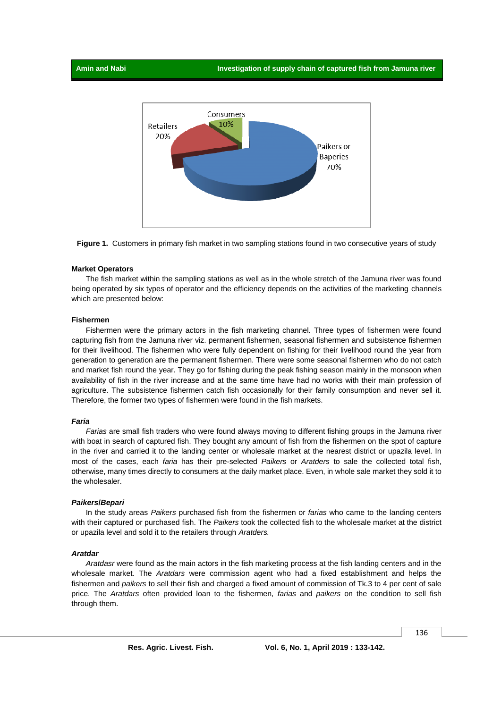

**Figure 1.** Customers in primary fish market in two sampling stations found in two consecutive years of study

#### **Market Operators**

The fish market within the sampling stations as well as in the whole stretch of the Jamuna river was found being operated by six types of operator and the efficiency depends on the activities of the marketing channels which are presented below:

#### **Fishermen**

Fishermen were the primary actors in the fish marketing channel. Three types of fishermen were found capturing fish from the Jamuna river viz. permanent fishermen, seasonal fishermen and subsistence fishermen for their livelihood. The fishermen who were fully dependent on fishing for their livelihood round the year from generation to generation are the permanent fishermen. There were some seasonal fishermen who do not catch and market fish round the year. They go for fishing during the peak fishing season mainly in the monsoon when availability of fish in the river increase and at the same time have had no works with their main profession of agriculture. The subsistence fishermen catch fish occasionally for their family consumption and never sell it. Therefore, the former two types of fishermen were found in the fish markets.

#### *Faria*

*Farias* are small fish traders who were found always moving to different fishing groups in the Jamuna river with boat in search of captured fish. They bought any amount of fish from the fishermen on the spot of capture in the river and carried it to the landing center or wholesale market at the nearest district or upazila level. In most of the cases, each *faria* has their pre-selected *Paikers* or *Aratders* to sale the collected total fish, otherwise, many times directly to consumers at the daily market place. Even, in whole sale market they sold it to the wholesaler.

#### *Paikers***/***Bepari*

In the study areas *Paikers* purchased fish from the fishermen or *farias* who came to the landing centers with their captured or purchased fish. The *Paikers* took the collected fish to the wholesale market at the district or upazila level and sold it to the retailers through *Aratders.*

#### *Aratdar*

*Aratdasr* were found as the main actors in the fish marketing process at the fish landing centers and in the wholesale market. The *Aratdars* were commission agent who had a fixed establishment and helps the fishermen and *paikers* to sell their fish and charged a fixed amount of commission of Tk.3 to 4 per cent of sale price. The *Aratdars* often provided loan to the fishermen, *farias* and *paikers* on the condition to sell fish through them.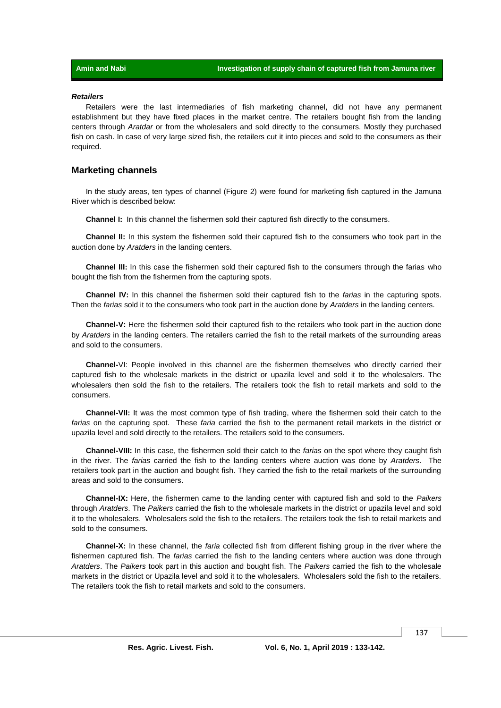#### *Retailers*

Retailers were the last intermediaries of fish marketing channel, did not have any permanent establishment but they have fixed places in the market centre. The retailers bought fish from the landing centers through *Aratdar* or from the wholesalers and sold directly to the consumers. Mostly they purchased fish on cash. In case of very large sized fish, the retailers cut it into pieces and sold to the consumers as their required.

#### **Marketing channels**

In the study areas, ten types of channel (Figure 2) were found for marketing fish captured in the Jamuna River which is described below:

**Channel I:** In this channel the fishermen sold their captured fish directly to the consumers.

**Channel II:** In this system the fishermen sold their captured fish to the consumers who took part in the auction done by *Aratders* in the landing centers.

**Channel III:** In this case the fishermen sold their captured fish to the consumers through the farias who bought the fish from the fishermen from the capturing spots.

**Channel IV:** In this channel the fishermen sold their captured fish to the *farias* in the capturing spots. Then the *farias* sold it to the consumers who took part in the auction done by *Aratders* in the landing centers.

**Channel-V:** Here the fishermen sold their captured fish to the retailers who took part in the auction done by *Aratders* in the landing centers. The retailers carried the fish to the retail markets of the surrounding areas and sold to the consumers.

**Channel-**VI: People involved in this channel are the fishermen themselves who directly carried their captured fish to the wholesale markets in the district or upazila level and sold it to the wholesalers. The wholesalers then sold the fish to the retailers. The retailers took the fish to retail markets and sold to the consumers.

**Channel-VII:** It was the most common type of fish trading, where the fishermen sold their catch to the *farias* on the capturing spot. These *faria* carried the fish to the permanent retail markets in the district or upazila level and sold directly to the retailers. The retailers sold to the consumers.

**Channel-VIII:** In this case, the fishermen sold their catch to the *farias* on the spot where they caught fish in the river. The *farias* carried the fish to the landing centers where auction was done by *Aratders*. The retailers took part in the auction and bought fish. They carried the fish to the retail markets of the surrounding areas and sold to the consumers.

**Channel-IX:** Here, the fishermen came to the landing center with captured fish and sold to the *Paikers* through *Aratders*. The *Paikers* carried the fish to the wholesale markets in the district or upazila level and sold it to the wholesalers. Wholesalers sold the fish to the retailers. The retailers took the fish to retail markets and sold to the consumers.

**Channel-X:** In these channel, the *faria* collected fish from different fishing group in the river where the fishermen captured fish. The *farias* carried the fish to the landing centers where auction was done through *Aratders*. The *Paikers* took part in this auction and bought fish. The *Paikers* carried the fish to the wholesale markets in the district or Upazila level and sold it to the wholesalers. Wholesalers sold the fish to the retailers. The retailers took the fish to retail markets and sold to the consumers.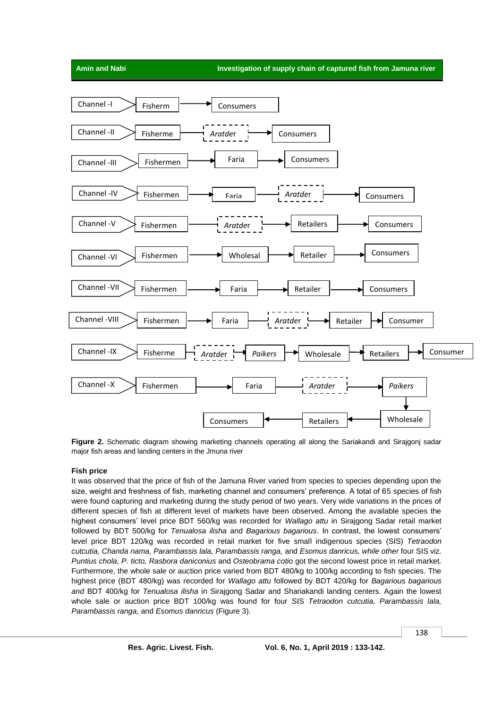**Amin and Nabi Investigation of supply chain of captured fish from Jamuna river**



**Figure 2.** Schematic diagram showing marketing channels operating all along the Sariakandi and Sirajgonj sadar major fish areas and landing centers in the Jmuna river

#### **Fish price**

It was observed that the price of fish of the Jamuna River varied from species to species depending upon the size, weight and freshness of fish, marketing channel and consumers' preference. A total of 65 species of fish were found capturing and marketing during the study period of two years. Very wide variations in the prices of different species of fish at different level of markets have been observed. Among the available species the highest consumers' level price BDT 560/kg was recorded for *Wallago attu* in Sirajgong Sadar retail market followed by BDT 500/kg for *Tenualosa ilisha* and *Bagarious bagarious*. In contrast, the lowest consumers' level price BDT 120/kg was recorded in retail market for five small indigenous species (SIS) *Tetraodon cutcutia, Chanda nama, Parambassis lala, Parambassis ranga,* and *Esomus danricus, while other* four SIS viz. *Puntius chola, P*. *ticto, Rasbora daniconius* and *Osteobrama cotio* got the second lowest price in retail market*.*  Furthermore, the whole sale or auction price varied from BDT 480/kg to 100/kg according to fish species. The highest price (BDT 480/kg) was recorded for *Wallago attu* followed by BDT 420/kg for *Bagarious bagarious and* BDT 400/kg for *Tenualosa ilisha* in Sirajgong Sadar and Shariakandi landing centers. Again the lowest whole sale or auction price BDT 100/kg was found for four SIS *Tetraodon cutcutia, Parambassis lala, Parambassis ranga,* and *Esomus danricus* (Figure 3).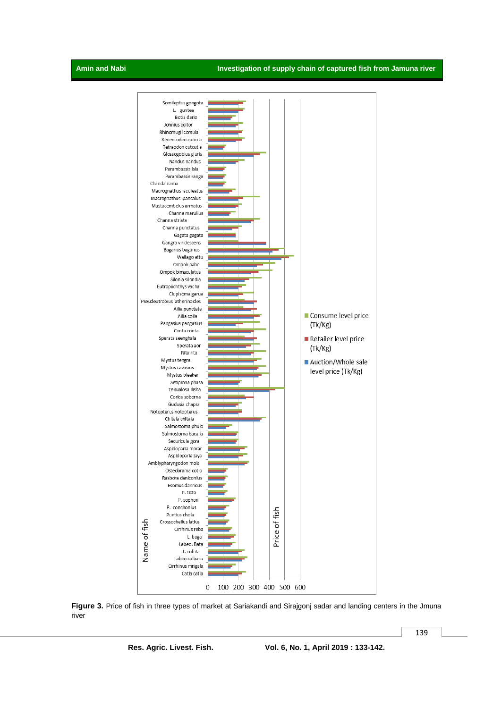

**Figure 3.** Price of fish in three types of market at Sariakandi and Sirajgonj sadar and landing centers in the Jmuna river

139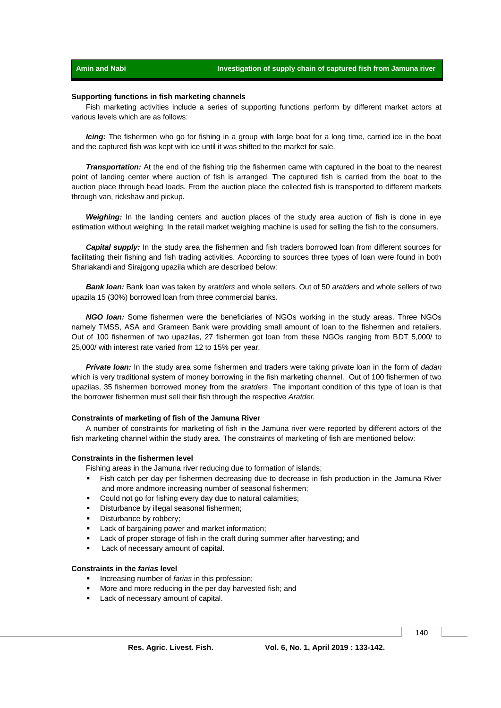#### **Supporting functions in fish marketing channels**

Fish marketing activities include a series of supporting functions perform by different market actors at various levels which are as follows:

*Icing:* The fishermen who go for fishing in a group with large boat for a long time, carried ice in the boat and the captured fish was kept with ice until it was shifted to the market for sale.

*Transportation:* At the end of the fishing trip the fishermen came with captured in the boat to the nearest point of landing center where auction of fish is arranged. The captured fish is carried from the boat to the auction place through head loads. From the auction place the collected fish is transported to different markets through van, rickshaw and pickup.

*Weighing:* In the landing centers and auction places of the study area auction of fish is done in eye estimation without weighing. In the retail market weighing machine is used for selling the fish to the consumers.

*Capital supply:* In the study area the fishermen and fish traders borrowed loan from different sources for facilitating their fishing and fish trading activities. According to sources three types of loan were found in both Shariakandi and Sirajgong upazila which are described below:

*Bank loan:* Bank loan was taken by *aratders* and whole sellers. Out of 50 *aratders* and whole sellers of two upazila 15 (30%) borrowed loan from three commercial banks.

*NGO loan:* Some fishermen were the beneficiaries of NGOs working in the study areas. Three NGOs namely TMSS, ASA and Grameen Bank were providing small amount of loan to the fishermen and retailers. Out of 100 fishermen of two upazilas, 27 fishermen got loan from these NGOs ranging from BDT 5,000/ to 25,000/ with interest rate varied from 12 to 15% per year.

*Private loan:* In the study area some fishermen and traders were taking private loan in the form of *dadan* which is very traditional system of money borrowing in the fish marketing channel. Out of 100 fishermen of two upazilas, 35 fishermen borrowed money from the *aratders*. The important condition of this type of loan is that the borrower fishermen must sell their fish through the respective *Aratder.* 

#### **Constraints of marketing of fish of the Jamuna River**

A number of constraints for marketing of fish in the Jamuna river were reported by different actors of the fish marketing channel within the study area. The constraints of marketing of fish are mentioned below:

#### **Constraints in the fishermen level**

Fishing areas in the Jamuna river reducing due to formation of islands;

- **•** Fish catch per day per fishermen decreasing due to decrease in fish production in the Jamuna River and more andmore increasing number of seasonal fishermen;
- Could not go for fishing every day due to natural calamities;
- Disturbance by illegal seasonal fishermen;
- Disturbance by robbery;
- Lack of bargaining power and market information;
- **■** Lack of proper storage of fish in the craft during summer after harvesting; and
- **■** Lack of necessary amount of capital.

#### **Constraints in the** *farias* **level**

- Increasing number of *farias* in this profession;
- More and more reducing in the per day harvested fish; and
- Lack of necessary amount of capital.

140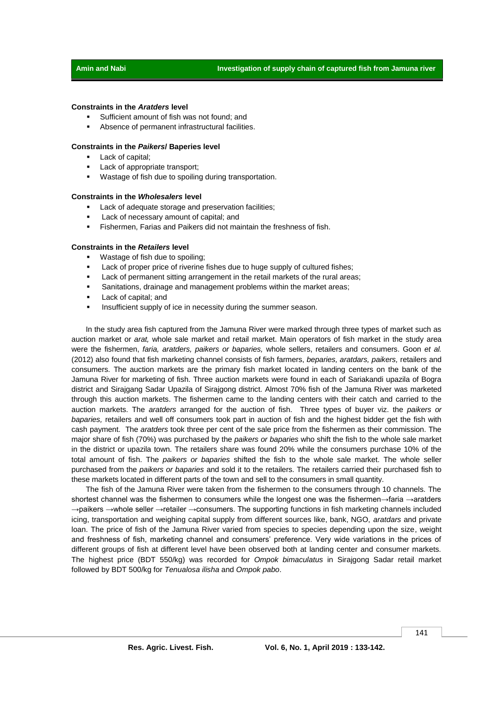#### **Constraints in the** *Aratders* **level**

- Sufficient amount of fish was not found; and
- Absence of permanent infrastructural facilities.

#### **Constraints in the** *Paikers***/ Baperies level**

- **•** Lack of capital;
- Lack of appropriate transport;
- Wastage of fish due to spoiling during transportation.

#### **Constraints in the** *Wholesalers* **level**

- Lack of adequate storage and preservation facilities;
- Lack of necessary amount of capital; and
- Fishermen, Farias and Paikers did not maintain the freshness of fish.

#### **Constraints in the** *Retailers* **level**

- Wastage of fish due to spoiling;
- Lack of proper price of riverine fishes due to huge supply of cultured fishes;
- Lack of permanent sitting arrangement in the retail markets of the rural areas;
- Sanitations, drainage and management problems within the market areas;
- Lack of capital: and
- Insufficient supply of ice in necessity during the summer season.

In the study area fish captured from the Jamuna River were marked through three types of market such as auction market or *arat,* whole sale market and retail market. Main operators of fish market in the study area were the fishermen, *faria, aratders, paikers or baparies,* whole sellers, retailers and consumers. Goon *et al.* (2012) also found that fish marketing channel consists of fish farmers, *beparies, aratdars, paikers,* retailers and consumers. The auction markets are the primary fish market located in landing centers on the bank of the Jamuna River for marketing of fish. Three auction markets were found in each of Sariakandi upazila of Bogra district and Sirajgang Sadar Upazila of Sirajgong district. Almost 70% fish of the Jamuna River was marketed through this auction markets. The fishermen came to the landing centers with their catch and carried to the auction markets. The *aratders* arranged for the auction of fish. Three types of buyer viz. the *paikers or baparies,* retailers and well off consumers took part in auction of fish and the highest bidder get the fish with cash payment. The *aratders* took three per cent of the sale price from the fishermen as their commission. The major share of fish (70%) was purchased by the *paikers or baparies* who shift the fish to the whole sale market in the district or upazila town. The retailers share was found 20% while the consumers purchase 10% of the total amount of fish. The *paikers or baparies* shifted the fish to the whole sale market. The whole seller purchased from the *paikers or baparies* and sold it to the retailers. The retailers carried their purchased fish to these markets located in different parts of the town and sell to the consumers in small quantity.

The fish of the Jamuna River were taken from the fishermen to the consumers through 10 channels. The shortest channel was the fishermen to consumers while the longest one was the fishermen→faria →aratders →paikers →whole seller →retailer →consumers. The supporting functions in fish marketing channels included icing, transportation and weighing capital supply from different sources like, bank, NGO, *aratdars* and private loan. The price of fish of the Jamuna River varied from species to species depending upon the size, weight and freshness of fish, marketing channel and consumers' preference. Very wide variations in the prices of different groups of fish at different level have been observed both at landing center and consumer markets. The highest price (BDT 550/kg) was recorded for *Ompok bimaculatus* in Sirajgong Sadar retail market followed by BDT 500/kg for *Tenualosa ilisha* and *Ompok pabo*.